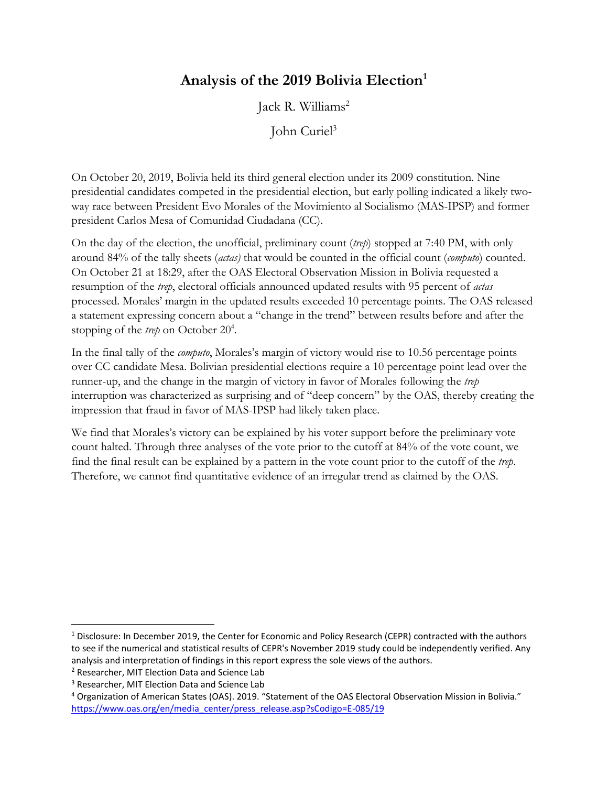## **Analysis of the 2019 Bolivia Election<sup>1</sup>**

Jack R. Williams<sup>2</sup>

John Curiel<sup>3</sup>

On October 20, 2019, Bolivia held its third general election under its 2009 constitution. Nine presidential candidates competed in the presidential election, but early polling indicated a likely twoway race between President Evo Morales of the Movimiento al Socialismo (MAS-IPSP) and former president Carlos Mesa of Comunidad Ciudadana (CC).

On the day of the election, the unofficial, preliminary count (*trep*) stopped at 7:40 PM, with only around 84% of the tally sheets (*actas)* that would be counted in the official count (*computo*) counted. On October 21 at 18:29, after the OAS Electoral Observation Mission in Bolivia requested a resumption of the *trep*, electoral officials announced updated results with 95 percent of *actas* processed. Morales' margin in the updated results exceeded 10 percentage points. The OAS released a statement expressing concern about a "change in the trend" between results before and after the stopping of the *trep* on October 20<sup>4</sup>.

In the final tally of the *computo*, Morales's margin of victory would rise to 10.56 percentage points over CC candidate Mesa. Bolivian presidential elections require a 10 percentage point lead over the runner-up, and the change in the margin of victory in favor of Morales following the *trep* interruption was characterized as surprising and of "deep concern" by the OAS, thereby creating the impression that fraud in favor of MAS-IPSP had likely taken place.

We find that Morales's victory can be explained by his voter support before the preliminary vote count halted. Through three analyses of the vote prior to the cutoff at 84% of the vote count, we find the final result can be explained by a pattern in the vote count prior to the cutoff of the *trep*. Therefore, we cannot find quantitative evidence of an irregular trend as claimed by the OAS.

 $\overline{\phantom{a}}$ 

<sup>1</sup> Disclosure: In December 2019, the Center for Economic and Policy Research (CEPR) contracted with the authors to see if the numerical and statistical results of CEPR's November 2019 study could be independently verified. Any analysis and interpretation of findings in this report express the sole views of the authors.

<sup>2</sup> Researcher, MIT Election Data and Science Lab

<sup>3</sup> Researcher, MIT Election Data and Science Lab

<sup>4</sup> Organization of American States (OAS). 2019. "Statement of the OAS Electoral Observation Mission in Bolivia." [https://www.oas.org/en/media\\_center/press\\_release.asp?sCodigo=E-085/19](https://www.oas.org/en/media_center/press_release.asp?sCodigo=E-085/19)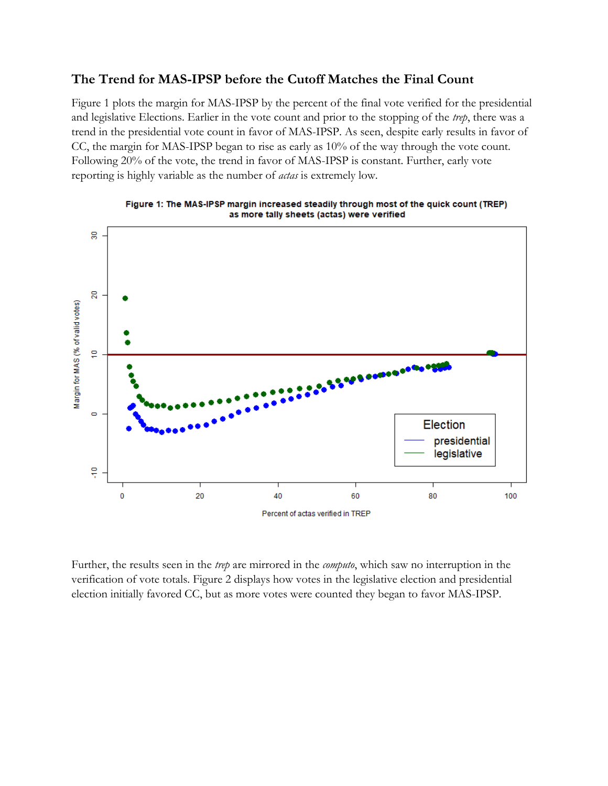### **The Trend for MAS-IPSP before the Cutoff Matches the Final Count**

Figure 1 plots the margin for MAS-IPSP by the percent of the final vote verified for the presidential and legislative Elections. Earlier in the vote count and prior to the stopping of the *trep*, there was a trend in the presidential vote count in favor of MAS-IPSP. As seen, despite early results in favor of CC, the margin for MAS-IPSP began to rise as early as 10% of the way through the vote count. Following 20% of the vote, the trend in favor of MAS-IPSP is constant. Further, early vote reporting is highly variable as the number of *actas* is extremely low.





Further, the results seen in the *trep* are mirrored in the *computo*, which saw no interruption in the verification of vote totals. Figure 2 displays how votes in the legislative election and presidential election initially favored CC, but as more votes were counted they began to favor MAS-IPSP.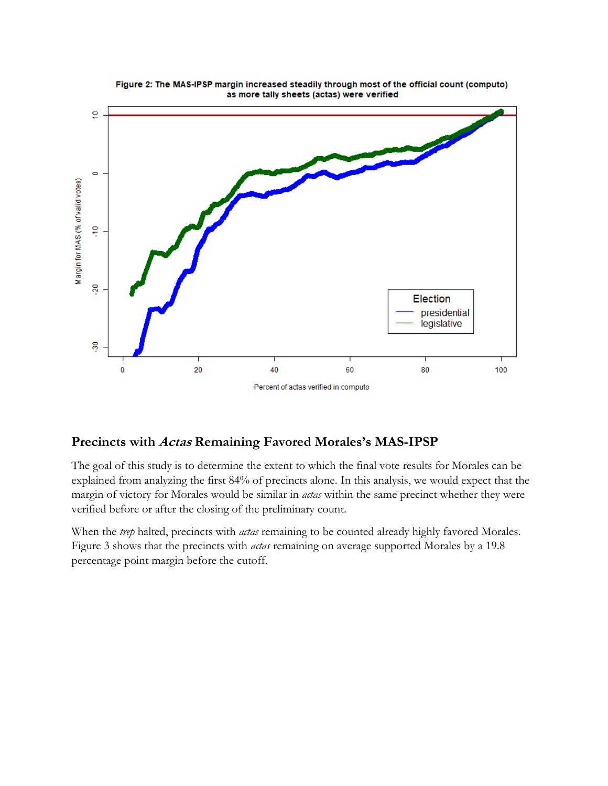

#### Figure 2: The MAS-IPSP margin increased steadily through most of the official count (computo) as more tally sheets (actas) were verified

## **Precincts with Actas Remaining Favored Morales's MAS-IPSP**

The goal of this study is to determine the extent to which the final vote results for Morales can be explained from analyzing the first 84% of precincts alone. In this analysis, we would expect that the margin of victory for Morales would be similar in *actas* within the same precinct whether they were verified before or after the closing of the preliminary count.

When the *trep* halted, precincts with *actas* remaining to be counted already highly favored Morales. Figure 3 shows that the precincts with *actas* remaining on average supported Morales by a 19.8 percentage point margin before the cutoff.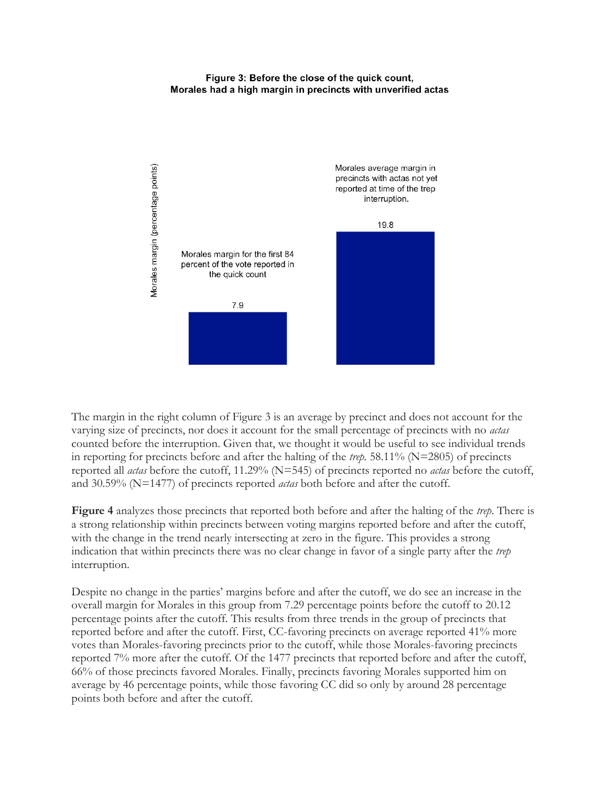#### Figure 3: Before the close of the quick count, Morales had a high margin in precincts with unverified actas



The margin in the right column of Figure 3 is an average by precinct and does not account for the varying size of precincts, nor does it account for the small percentage of precincts with no *actas* counted before the interruption. Given that, we thought it would be useful to see individual trends in reporting for precincts before and after the halting of the *trep.* 58.11% (N=2805) of precincts reported all *actas* before the cutoff, 11.29% (N=545) of precincts reported no *actas* before the cutoff, and 30.59% (N=1477) of precincts reported *actas* both before and after the cutoff.

**Figure 4** analyzes those precincts that reported both before and after the halting of the *trep*. There is a strong relationship within precincts between voting margins reported before and after the cutoff, with the change in the trend nearly intersecting at zero in the figure. This provides a strong indication that within precincts there was no clear change in favor of a single party after the *trep*  interruption.

Despite no change in the parties' margins before and after the cutoff, we do see an increase in the overall margin for Morales in this group from 7.29 percentage points before the cutoff to 20.12 percentage points after the cutoff. This results from three trends in the group of precincts that reported before and after the cutoff. First, CC-favoring precincts on average reported 41% more votes than Morales-favoring precincts prior to the cutoff, while those Morales-favoring precincts reported 7% more after the cutoff. Of the 1477 precincts that reported before and after the cutoff, 66% of those precincts favored Morales. Finally, precincts favoring Morales supported him on average by 46 percentage points, while those favoring CC did so only by around 28 percentage points both before and after the cutoff.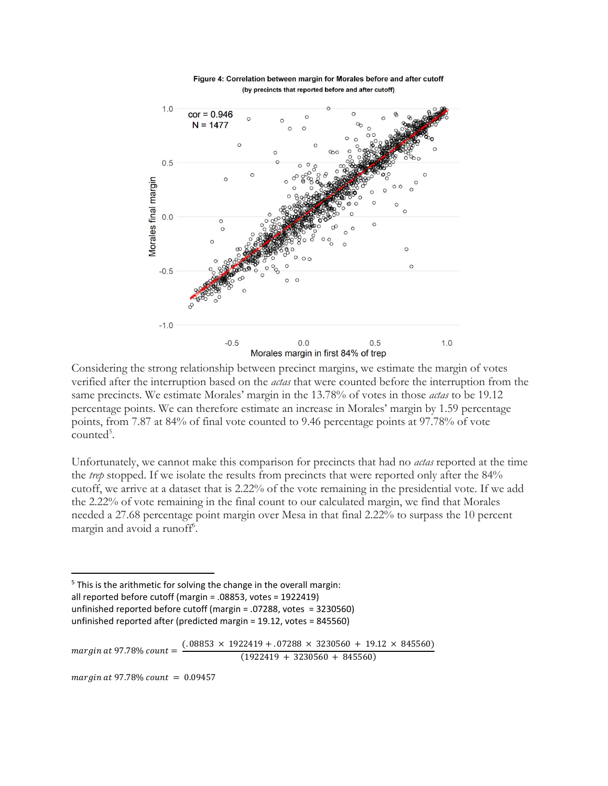

Figure 4: Correlation between margin for Morales before and after cutoff (by precincts that reported before and after cutoff)

Considering the strong relationship between precinct margins, we estimate the margin of votes verified after the interruption based on the *actas* that were counted before the interruption from the same precincts. We estimate Morales' margin in the 13.78% of votes in those *actas* to be 19.12 percentage points. We can therefore estimate an increase in Morales' margin by 1.59 percentage points, from 7.87 at 84% of final vote counted to 9.46 percentage points at 97.78% of vote counted<sup>5</sup>.

Unfortunately, we cannot make this comparison for precincts that had no *actas* reported at the time the *trep* stopped. If we isolate the results from precincts that were reported only after the 84% cutoff, we arrive at a dataset that is 2.22% of the vote remaining in the presidential vote. If we add the 2.22% of vote remaining in the final count to our calculated margin, we find that Morales needed a 27.68 percentage point margin over Mesa in that final 2.22% to surpass the 10 percent margin and avoid a runoff<sup>6</sup>.

<sup>5</sup> This is the arithmetic for solving the change in the overall margin: all reported before cutoff (margin = .08853, votes = 1922419)

- unfinished reported before cutoff (margin = .07288, votes = 3230560)
- unfinished reported after (predicted margin = 19.12, votes = 845560)

 $margin$  at 97.78% count  $=$  $(.08853 \times 1922419 + .07288 \times 3230560 + 19.12 \times 845560)$  $(1922419 + 3230560 + 845560)$ 

 $margin at 97.78\% count = 0.09457$ 

 $\overline{a}$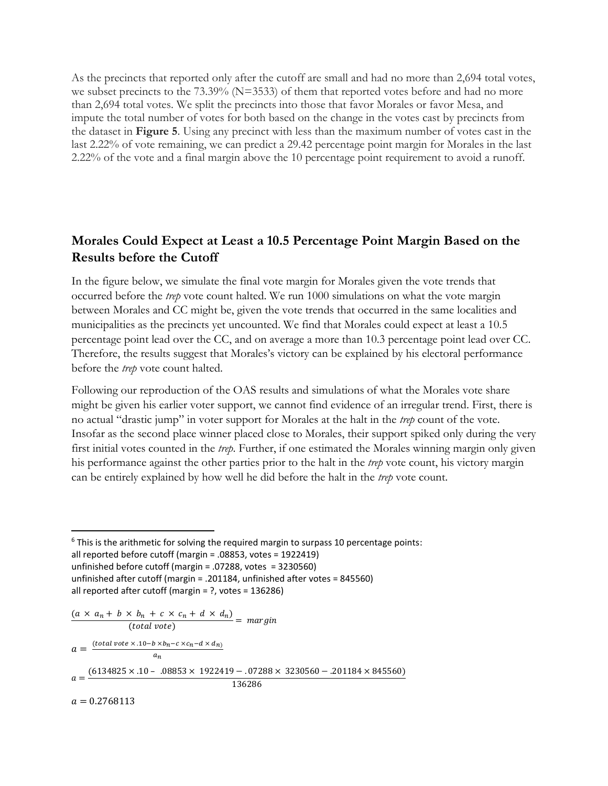As the precincts that reported only after the cutoff are small and had no more than 2,694 total votes, we subset precincts to the 73.39% (N=3533) of them that reported votes before and had no more than 2,694 total votes. We split the precincts into those that favor Morales or favor Mesa, and impute the total number of votes for both based on the change in the votes cast by precincts from the dataset in **Figure 5**. Using any precinct with less than the maximum number of votes cast in the last 2.22% of vote remaining, we can predict a 29.42 percentage point margin for Morales in the last 2.22% of the vote and a final margin above the 10 percentage point requirement to avoid a runoff.

## **Morales Could Expect at Least a 10.5 Percentage Point Margin Based on the Results before the Cutoff**

In the figure below, we simulate the final vote margin for Morales given the vote trends that occurred before the *trep* vote count halted. We run 1000 simulations on what the vote margin between Morales and CC might be, given the vote trends that occurred in the same localities and municipalities as the precincts yet uncounted. We find that Morales could expect at least a 10.5 percentage point lead over the CC, and on average a more than 10.3 percentage point lead over CC. Therefore, the results suggest that Morales's victory can be explained by his electoral performance before the *trep* vote count halted.

Following our reproduction of the OAS results and simulations of what the Morales vote share might be given his earlier voter support, we cannot find evidence of an irregular trend. First, there is no actual "drastic jump" in voter support for Morales at the halt in the *trep* count of the vote. Insofar as the second place winner placed close to Morales, their support spiked only during the very first initial votes counted in the *trep*. Further, if one estimated the Morales winning margin only given his performance against the other parties prior to the halt in the *trep* vote count, his victory margin can be entirely explained by how well he did before the halt in the *trep* vote count.

$$
\frac{(a \times a_n + b \times b_n + c \times c_n + d \times d_n)}{(total\,vote)} = margin
$$
\n
$$
a = \frac{(total\,vote \times .10 - b \times b_n - c \times c_n - d \times d_n)}{a_n}
$$
\n
$$
a = \frac{(6134825 \times .10 - .08853 \times 1922419 - .07288 \times 3230560 - .201184 \times 845560)}{136286}
$$
\n
$$
a = 0.2768113
$$

 $\overline{a}$  $6$  This is the arithmetic for solving the required margin to surpass 10 percentage points: all reported before cutoff (margin = .08853, votes = 1922419) unfinished before cutoff (margin = .07288, votes = 3230560) unfinished after cutoff (margin = .201184, unfinished after votes = 845560) all reported after cutoff (margin = ?, votes = 136286)